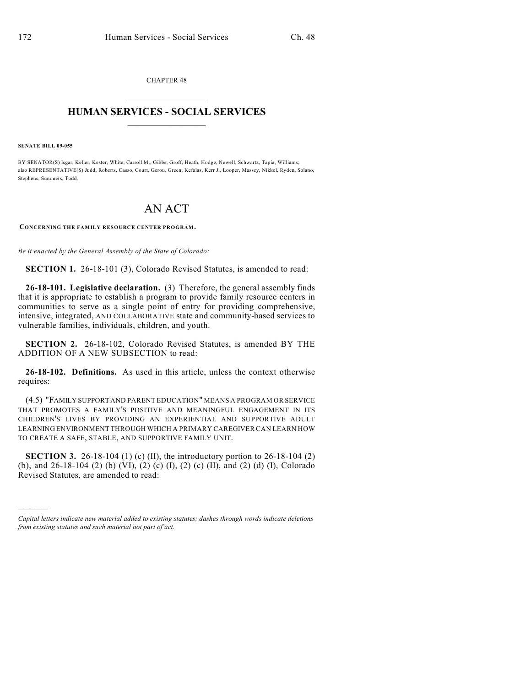CHAPTER 48  $\mathcal{L}_\text{max}$  . The set of the set of the set of the set of the set of the set of the set of the set of the set of the set of the set of the set of the set of the set of the set of the set of the set of the set of the set

## **HUMAN SERVICES - SOCIAL SERVICES**  $\frac{1}{2}$  ,  $\frac{1}{2}$  ,  $\frac{1}{2}$  ,  $\frac{1}{2}$  ,  $\frac{1}{2}$  ,  $\frac{1}{2}$  ,  $\frac{1}{2}$

**SENATE BILL 09-055**

)))))

BY SENATOR(S) Isgar, Keller, Kester, White, Carroll M., Gibbs, Groff, Heath, Hodge, Newell, Schwartz, Tapia, Williams; also REPRESENTATIVE(S) Judd, Roberts, Casso, Court, Gerou, Green, Kefalas, Kerr J., Looper, Massey, Nikkel, Ryden, Solano, Stephens, Summers, Todd.

## AN ACT

**CONCERNING THE FAMILY RESOURCE CENTER PROGRAM.**

*Be it enacted by the General Assembly of the State of Colorado:*

**SECTION 1.** 26-18-101 (3), Colorado Revised Statutes, is amended to read:

**26-18-101. Legislative declaration.** (3) Therefore, the general assembly finds that it is appropriate to establish a program to provide family resource centers in communities to serve as a single point of entry for providing comprehensive, intensive, integrated, AND COLLABORATIVE state and community-based services to vulnerable families, individuals, children, and youth.

**SECTION 2.** 26-18-102, Colorado Revised Statutes, is amended BY THE ADDITION OF A NEW SUBSECTION to read:

**26-18-102. Definitions.** As used in this article, unless the context otherwise requires:

(4.5) "FAMILY SUPPORT AND PARENT EDUCATION" MEANS A PROGRAM OR SERVICE THAT PROMOTES A FAMILY'S POSITIVE AND MEANINGFUL ENGAGEMENT IN ITS CHILDREN'S LIVES BY PROVIDING AN EXPERIENTIAL AND SUPPORTIVE ADULT LEARNING ENVIRONMENT THROUGH WHICH A PRIMARY CAREGIVER CAN LEARN HOW TO CREATE A SAFE, STABLE, AND SUPPORTIVE FAMILY UNIT.

**SECTION 3.** 26-18-104 (1) (c) (II), the introductory portion to 26-18-104 (2) (b), and 26-18-104 (2) (b) (VI), (2) (c) (I), (2) (c) (II), and (2) (d) (I), Colorado Revised Statutes, are amended to read:

*Capital letters indicate new material added to existing statutes; dashes through words indicate deletions from existing statutes and such material not part of act.*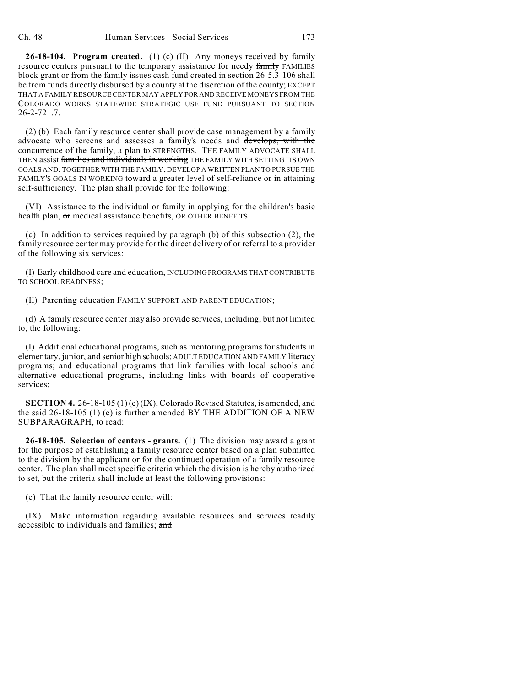**26-18-104. Program created.** (1) (c) (II) Any moneys received by family resource centers pursuant to the temporary assistance for needy family FAMILIES block grant or from the family issues cash fund created in section 26-5.3-106 shall be from funds directly disbursed by a county at the discretion of the county; EXCEPT THAT A FAMILY RESOURCE CENTER MAY APPLY FOR AND RECEIVE MONEYS FROM THE COLORADO WORKS STATEWIDE STRATEGIC USE FUND PURSUANT TO SECTION 26-2-721.7.

(2) (b) Each family resource center shall provide case management by a family advocate who screens and assesses a family's needs and develops, with the concurrence of the family, a plan to STRENGTHS. THE FAMILY ADVOCATE SHALL THEN assist families and individuals in working THE FAMILY WITH SETTING ITS OWN GOALS AND, TOGETHER WITH THE FAMILY, DEVELOP A WRITTEN PLAN TO PURSUE THE FAMILY'S GOALS IN WORKING toward a greater level of self-reliance or in attaining self-sufficiency. The plan shall provide for the following:

(VI) Assistance to the individual or family in applying for the children's basic health plan, or medical assistance benefits, OR OTHER BENEFITS.

(c) In addition to services required by paragraph (b) of this subsection (2), the family resource center may provide for the direct delivery of or referral to a provider of the following six services:

(I) Early childhood care and education, INCLUDING PROGRAMS THAT CONTRIBUTE TO SCHOOL READINESS;

(II) Parenting education FAMILY SUPPORT AND PARENT EDUCATION;

(d) A family resource center may also provide services, including, but not limited to, the following:

(I) Additional educational programs, such as mentoring programs for students in elementary, junior, and senior high schools; ADULT EDUCATION AND FAMILY literacy programs; and educational programs that link families with local schools and alternative educational programs, including links with boards of cooperative services;

**SECTION 4.** 26-18-105 (1) (e) (IX), Colorado Revised Statutes, is amended, and the said 26-18-105 (1) (e) is further amended BY THE ADDITION OF A NEW SUBPARAGRAPH, to read:

**26-18-105. Selection of centers - grants.** (1) The division may award a grant for the purpose of establishing a family resource center based on a plan submitted to the division by the applicant or for the continued operation of a family resource center. The plan shall meet specific criteria which the division is hereby authorized to set, but the criteria shall include at least the following provisions:

(e) That the family resource center will:

(IX) Make information regarding available resources and services readily accessible to individuals and families: and